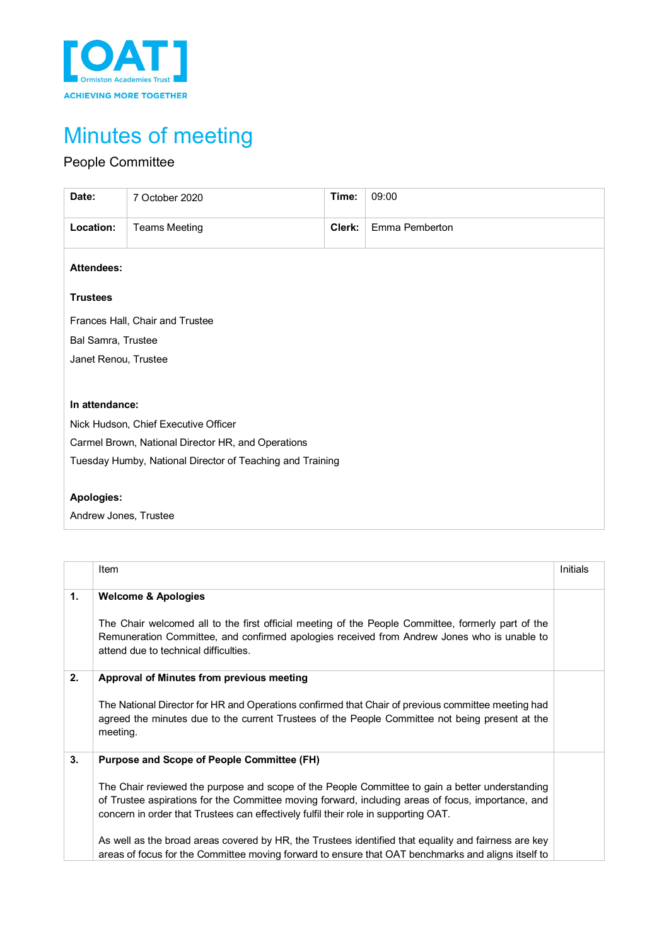

# Minutes of meeting

# People Committee

| Date:                                                     | 7 October 2020                       | Time:  | 09:00          |  |  |
|-----------------------------------------------------------|--------------------------------------|--------|----------------|--|--|
| Location:                                                 | <b>Teams Meeting</b>                 | Clerk: | Emma Pemberton |  |  |
| <b>Attendees:</b>                                         |                                      |        |                |  |  |
| <b>Trustees</b>                                           |                                      |        |                |  |  |
| Frances Hall, Chair and Trustee                           |                                      |        |                |  |  |
| Bal Samra, Trustee                                        |                                      |        |                |  |  |
| Janet Renou, Trustee                                      |                                      |        |                |  |  |
|                                                           |                                      |        |                |  |  |
| In attendance:                                            |                                      |        |                |  |  |
|                                                           | Nick Hudson, Chief Executive Officer |        |                |  |  |
| Carmel Brown, National Director HR, and Operations        |                                      |        |                |  |  |
| Tuesday Humby, National Director of Teaching and Training |                                      |        |                |  |  |
|                                                           |                                      |        |                |  |  |
| Apologies:                                                |                                      |        |                |  |  |
| Andrew Jones, Trustee                                     |                                      |        |                |  |  |

|    | Item                                                                                                                                                                                                                                                                                                                                                                                                                                                                                                                                                            | Initials |
|----|-----------------------------------------------------------------------------------------------------------------------------------------------------------------------------------------------------------------------------------------------------------------------------------------------------------------------------------------------------------------------------------------------------------------------------------------------------------------------------------------------------------------------------------------------------------------|----------|
| 1. | <b>Welcome &amp; Apologies</b><br>The Chair welcomed all to the first official meeting of the People Committee, formerly part of the<br>Remuneration Committee, and confirmed apologies received from Andrew Jones who is unable to<br>attend due to technical difficulties.                                                                                                                                                                                                                                                                                    |          |
| 2. | Approval of Minutes from previous meeting<br>The National Director for HR and Operations confirmed that Chair of previous committee meeting had<br>agreed the minutes due to the current Trustees of the People Committee not being present at the<br>meeting.                                                                                                                                                                                                                                                                                                  |          |
| 3. | <b>Purpose and Scope of People Committee (FH)</b><br>The Chair reviewed the purpose and scope of the People Committee to gain a better understanding<br>of Trustee aspirations for the Committee moving forward, including areas of focus, importance, and<br>concern in order that Trustees can effectively fulfil their role in supporting OAT.<br>As well as the broad areas covered by HR, the Trustees identified that equality and fairness are key<br>areas of focus for the Committee moving forward to ensure that OAT benchmarks and aligns itself to |          |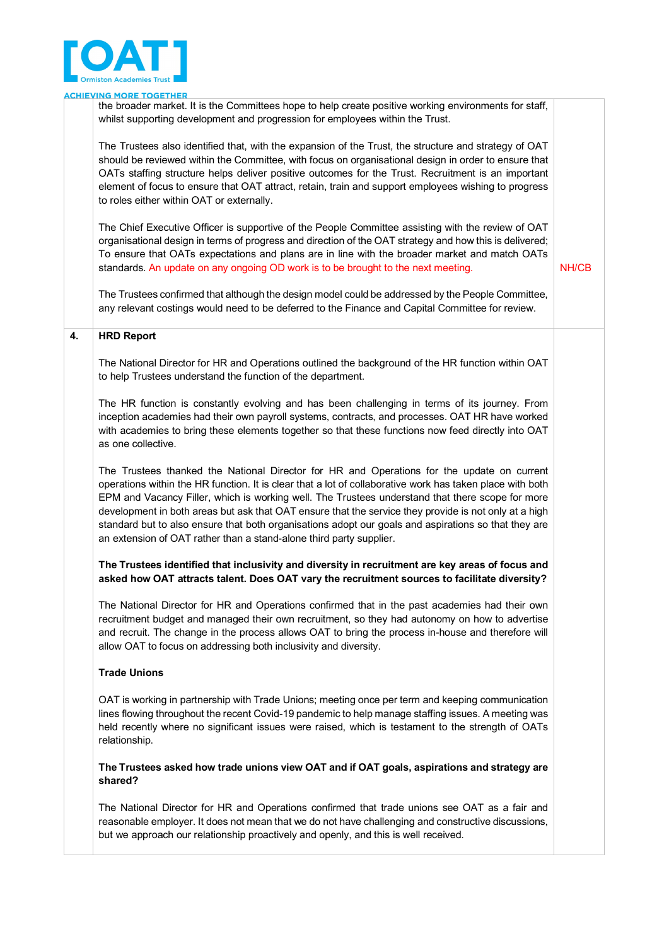

|    | <b>CHIEVING MORE TOGETHER</b>                                                                                                                                                                                                                                                                                                                                                                                                                                                                                                                                                                       |       |
|----|-----------------------------------------------------------------------------------------------------------------------------------------------------------------------------------------------------------------------------------------------------------------------------------------------------------------------------------------------------------------------------------------------------------------------------------------------------------------------------------------------------------------------------------------------------------------------------------------------------|-------|
|    | the broader market. It is the Committees hope to help create positive working environments for staff,<br>whilst supporting development and progression for employees within the Trust.                                                                                                                                                                                                                                                                                                                                                                                                              |       |
|    | The Trustees also identified that, with the expansion of the Trust, the structure and strategy of OAT<br>should be reviewed within the Committee, with focus on organisational design in order to ensure that<br>OATs staffing structure helps deliver positive outcomes for the Trust. Recruitment is an important<br>element of focus to ensure that OAT attract, retain, train and support employees wishing to progress<br>to roles either within OAT or externally.                                                                                                                            |       |
|    | The Chief Executive Officer is supportive of the People Committee assisting with the review of OAT<br>organisational design in terms of progress and direction of the OAT strategy and how this is delivered;<br>To ensure that OATs expectations and plans are in line with the broader market and match OATs<br>standards. An update on any ongoing OD work is to be brought to the next meeting.                                                                                                                                                                                                 | NH/CB |
|    | The Trustees confirmed that although the design model could be addressed by the People Committee,<br>any relevant costings would need to be deferred to the Finance and Capital Committee for review.                                                                                                                                                                                                                                                                                                                                                                                               |       |
| 4. | <b>HRD Report</b>                                                                                                                                                                                                                                                                                                                                                                                                                                                                                                                                                                                   |       |
|    | The National Director for HR and Operations outlined the background of the HR function within OAT<br>to help Trustees understand the function of the department.                                                                                                                                                                                                                                                                                                                                                                                                                                    |       |
|    | The HR function is constantly evolving and has been challenging in terms of its journey. From<br>inception academies had their own payroll systems, contracts, and processes. OAT HR have worked<br>with academies to bring these elements together so that these functions now feed directly into OAT<br>as one collective.                                                                                                                                                                                                                                                                        |       |
|    | The Trustees thanked the National Director for HR and Operations for the update on current<br>operations within the HR function. It is clear that a lot of collaborative work has taken place with both<br>EPM and Vacancy Filler, which is working well. The Trustees understand that there scope for more<br>development in both areas but ask that OAT ensure that the service they provide is not only at a high<br>standard but to also ensure that both organisations adopt our goals and aspirations so that they are<br>an extension of OAT rather than a stand-alone third party supplier. |       |
|    | The Trustees identified that inclusivity and diversity in recruitment are key areas of focus and<br>asked how OAT attracts talent. Does OAT vary the recruitment sources to facilitate diversity?                                                                                                                                                                                                                                                                                                                                                                                                   |       |
|    | The National Director for HR and Operations confirmed that in the past academies had their own<br>recruitment budget and managed their own recruitment, so they had autonomy on how to advertise<br>and recruit. The change in the process allows OAT to bring the process in-house and therefore will<br>allow OAT to focus on addressing both inclusivity and diversity.                                                                                                                                                                                                                          |       |
|    | <b>Trade Unions</b>                                                                                                                                                                                                                                                                                                                                                                                                                                                                                                                                                                                 |       |
|    | OAT is working in partnership with Trade Unions; meeting once per term and keeping communication<br>lines flowing throughout the recent Covid-19 pandemic to help manage staffing issues. A meeting was<br>held recently where no significant issues were raised, which is testament to the strength of OATs<br>relationship.                                                                                                                                                                                                                                                                       |       |
|    | The Trustees asked how trade unions view OAT and if OAT goals, aspirations and strategy are<br>shared?                                                                                                                                                                                                                                                                                                                                                                                                                                                                                              |       |
|    | The National Director for HR and Operations confirmed that trade unions see OAT as a fair and<br>reasonable employer. It does not mean that we do not have challenging and constructive discussions,<br>but we approach our relationship proactively and openly, and this is well received.                                                                                                                                                                                                                                                                                                         |       |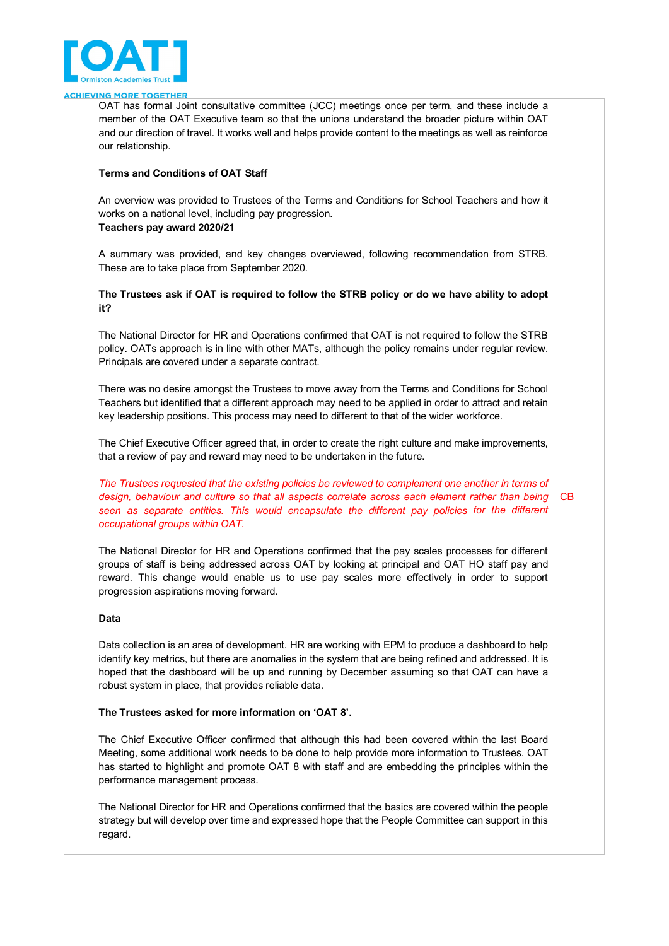

OAT has formal Joint consultative committee (JCC) meetings once per term, and these include a member of the OAT Executive team so that the unions understand the broader picture within OAT and our direction of travel. It works well and helps provide content to the meetings as well as reinforce our relationship.

#### **Terms and Conditions of OAT Staff**

An overview was provided to Trustees of the Terms and Conditions for School Teachers and how it works on a national level, including pay progression.

**Teachers pay award 2020/21**

A summary was provided, and key changes overviewed, following recommendation from STRB. These are to take place from September 2020.

## **The Trustees ask if OAT is required to follow the STRB policy or do we have ability to adopt it?**

The National Director for HR and Operations confirmed that OAT is not required to follow the STRB policy. OATs approach is in line with other MATs, although the policy remains under regular review. Principals are covered under a separate contract.

There was no desire amongst the Trustees to move away from the Terms and Conditions for School Teachers but identified that a different approach may need to be applied in order to attract and retain key leadership positions. This process may need to different to that of the wider workforce.

The Chief Executive Officer agreed that, in order to create the right culture and make improvements, that a review of pay and reward may need to be undertaken in the future.

*The Trustees requested that the existing policies be reviewed to complement one another in terms of design, behaviour and culture so that all aspects correlate across each element rather than being seen as separate entities. This would encapsulate the different pay policies for the different occupational groups within OAT.* CB

The National Director for HR and Operations confirmed that the pay scales processes for different groups of staff is being addressed across OAT by looking at principal and OAT HO staff pay and reward. This change would enable us to use pay scales more effectively in order to support progression aspirations moving forward.

#### **Data**

Data collection is an area of development. HR are working with EPM to produce a dashboard to help identify key metrics, but there are anomalies in the system that are being refined and addressed. It is hoped that the dashboard will be up and running by December assuming so that OAT can have a robust system in place, that provides reliable data.

#### **The Trustees asked for more information on 'OAT 8'.**

The Chief Executive Officer confirmed that although this had been covered within the last Board Meeting, some additional work needs to be done to help provide more information to Trustees. OAT has started to highlight and promote OAT 8 with staff and are embedding the principles within the performance management process.

The National Director for HR and Operations confirmed that the basics are covered within the people strategy but will develop over time and expressed hope that the People Committee can support in this regard.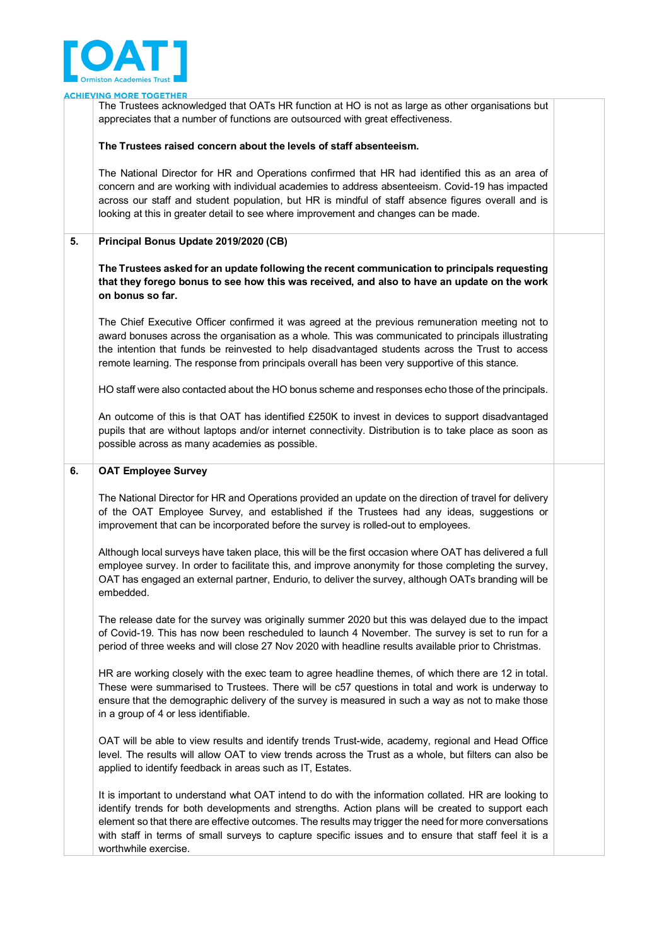

**ING MORE TOGETHER ACHIEV** The Trustees acknowledged that OATs HR function at HO is not as large as other organisations but appreciates that a number of functions are outsourced with great effectiveness. **The Trustees raised concern about the levels of staff absenteeism.**  The National Director for HR and Operations confirmed that HR had identified this as an area of concern and are working with individual academies to address absenteeism. Covid-19 has impacted across our staff and student population, but HR is mindful of staff absence figures overall and is looking at this in greater detail to see where improvement and changes can be made. **5. Principal Bonus Update 2019/2020 (CB) The Trustees asked for an update following the recent communication to principals requesting that they forego bonus to see how this was received, and also to have an update on the work on bonus so far.** The Chief Executive Officer confirmed it was agreed at the previous remuneration meeting not to award bonuses across the organisation as a whole. This was communicated to principals illustrating the intention that funds be reinvested to help disadvantaged students across the Trust to access remote learning. The response from principals overall has been very supportive of this stance. HO staff were also contacted about the HO bonus scheme and responses echo those of the principals. An outcome of this is that OAT has identified £250K to invest in devices to support disadvantaged pupils that are without laptops and/or internet connectivity. Distribution is to take place as soon as possible across as many academies as possible. **6. OAT Employee Survey** The National Director for HR and Operations provided an update on the direction of travel for delivery of the OAT Employee Survey, and established if the Trustees had any ideas, suggestions or improvement that can be incorporated before the survey is rolled-out to employees. Although local surveys have taken place, this will be the first occasion where OAT has delivered a full employee survey. In order to facilitate this, and improve anonymity for those completing the survey, OAT has engaged an external partner, Endurio, to deliver the survey, although OATs branding will be embedded. The release date for the survey was originally summer 2020 but this was delayed due to the impact of Covid-19. This has now been rescheduled to launch 4 November. The survey is set to run for a period of three weeks and will close 27 Nov 2020 with headline results available prior to Christmas. HR are working closely with the exec team to agree headline themes, of which there are 12 in total. These were summarised to Trustees. There will be c57 questions in total and work is underway to ensure that the demographic delivery of the survey is measured in such a way as not to make those in a group of 4 or less identifiable. OAT will be able to view results and identify trends Trust-wide, academy, regional and Head Office level. The results will allow OAT to view trends across the Trust as a whole, but filters can also be applied to identify feedback in areas such as IT, Estates. It is important to understand what OAT intend to do with the information collated. HR are looking to

identify trends for both developments and strengths. Action plans will be created to support each element so that there are effective outcomes. The results may trigger the need for more conversations with staff in terms of small surveys to capture specific issues and to ensure that staff feel it is a worthwhile exercise.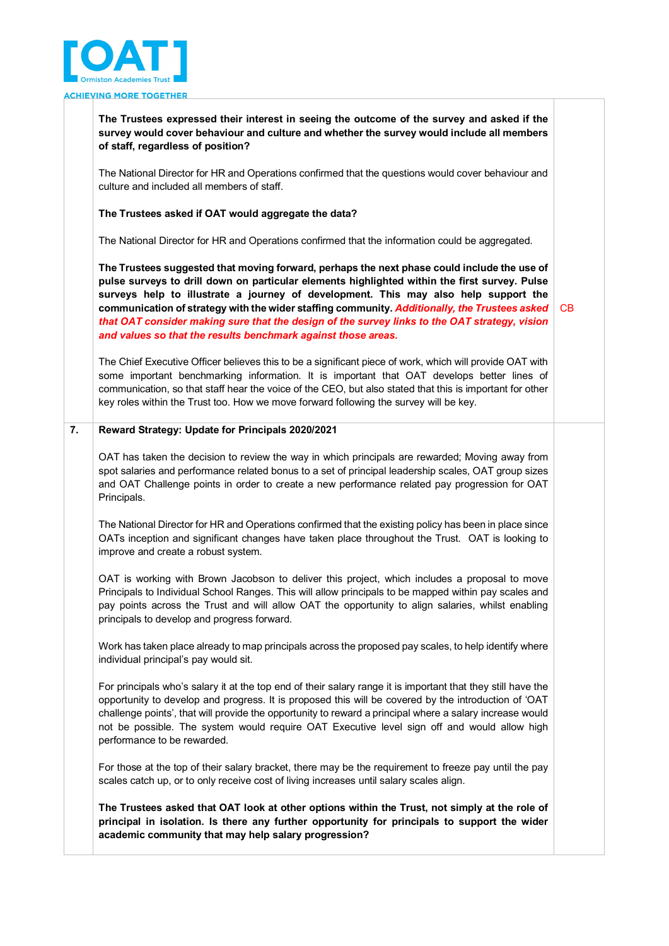

**The Trustees expressed their interest in seeing the outcome of the survey and asked if the survey would cover behaviour and culture and whether the survey would include all members of staff, regardless of position?**

The National Director for HR and Operations confirmed that the questions would cover behaviour and culture and included all members of staff.

#### **The Trustees asked if OAT would aggregate the data?**

The National Director for HR and Operations confirmed that the information could be aggregated.

**The Trustees suggested that moving forward, perhaps the next phase could include the use of pulse surveys to drill down on particular elements highlighted within the first survey. Pulse surveys help to illustrate a journey of development. This may also help support the communication of strategy with the wider staffing community.** *Additionally, the Trustees asked that OAT consider making sure that the design of the survey links to the OAT strategy, vision and values so that the results benchmark against those areas.*  CB

The Chief Executive Officer believes this to be a significant piece of work, which will provide OAT with some important benchmarking information. It is important that OAT develops better lines of communication, so that staff hear the voice of the CEO, but also stated that this is important for other key roles within the Trust too. How we move forward following the survey will be key.

## **7. Reward Strategy: Update for Principals 2020/2021**

OAT has taken the decision to review the way in which principals are rewarded; Moving away from spot salaries and performance related bonus to a set of principal leadership scales, OAT group sizes and OAT Challenge points in order to create a new performance related pay progression for OAT Principals.

The National Director for HR and Operations confirmed that the existing policy has been in place since OATs inception and significant changes have taken place throughout the Trust. OAT is looking to improve and create a robust system.

OAT is working with Brown Jacobson to deliver this project, which includes a proposal to move Principals to Individual School Ranges. This will allow principals to be mapped within pay scales and pay points across the Trust and will allow OAT the opportunity to align salaries, whilst enabling principals to develop and progress forward.

Work has taken place already to map principals across the proposed pay scales, to help identify where individual principal's pay would sit.

For principals who's salary it at the top end of their salary range it is important that they still have the opportunity to develop and progress. It is proposed this will be covered by the introduction of 'OAT challenge points', that will provide the opportunity to reward a principal where a salary increase would not be possible. The system would require OAT Executive level sign off and would allow high performance to be rewarded.

For those at the top of their salary bracket, there may be the requirement to freeze pay until the pay scales catch up, or to only receive cost of living increases until salary scales align.

**The Trustees asked that OAT look at other options within the Trust, not simply at the role of principal in isolation. Is there any further opportunity for principals to support the wider academic community that may help salary progression?**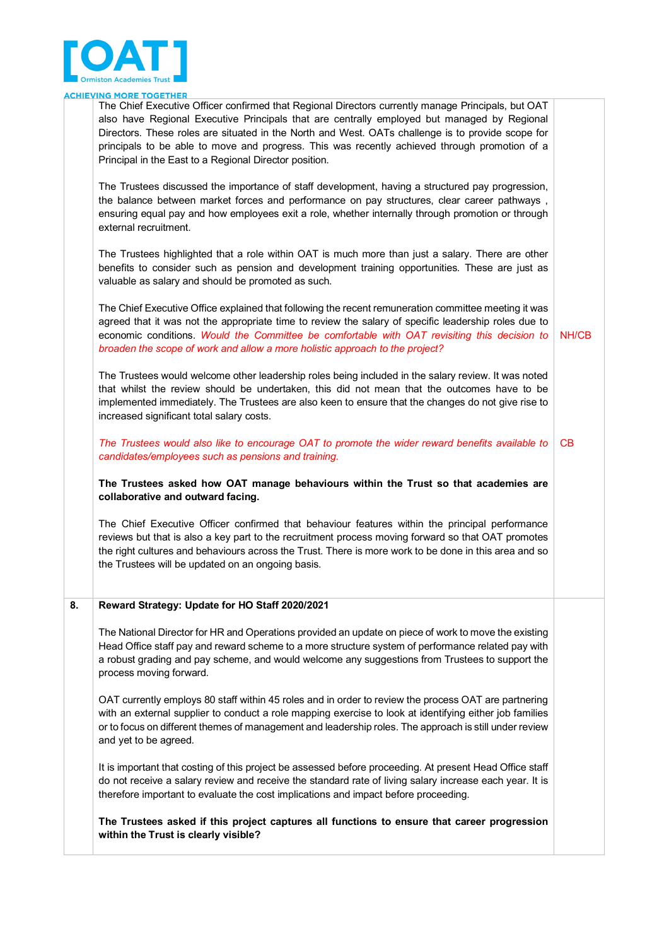

| The Chief Executive Officer confirmed that Regional Directors currently manage Principals, but OAT |  |
|----------------------------------------------------------------------------------------------------|--|
| also have Regional Executive Principals that are centrally employed but managed by Regional        |  |
| Directors. These roles are situated in the North and West. OATs challenge is to provide scope for  |  |
| principals to be able to move and progress. This was recently achieved through promotion of a      |  |
| Principal in the East to a Regional Director position.                                             |  |
|                                                                                                    |  |

The Trustees discussed the importance of staff development, having a structured pay progression, the balance between market forces and performance on pay structures, clear career pathways , ensuring equal pay and how employees exit a role, whether internally through promotion or through external recruitment.

The Trustees highlighted that a role within OAT is much more than just a salary. There are other benefits to consider such as pension and development training opportunities. These are just as valuable as salary and should be promoted as such.

The Chief Executive Office explained that following the recent remuneration committee meeting it was agreed that it was not the appropriate time to review the salary of specific leadership roles due to economic conditions. *Would the Committee be comfortable with OAT revisiting this decision to broaden the scope of work and allow a more holistic approach to the project?* NH/CB

The Trustees would welcome other leadership roles being included in the salary review. It was noted that whilst the review should be undertaken, this did not mean that the outcomes have to be implemented immediately. The Trustees are also keen to ensure that the changes do not give rise to increased significant total salary costs.

*The Trustees would also like to encourage OAT to promote the wider reward benefits available to candidates/employees such as pensions and training.* CB

**The Trustees asked how OAT manage behaviours within the Trust so that academies are collaborative and outward facing.** 

The Chief Executive Officer confirmed that behaviour features within the principal performance reviews but that is also a key part to the recruitment process moving forward so that OAT promotes the right cultures and behaviours across the Trust. There is more work to be done in this area and so the Trustees will be updated on an ongoing basis.

#### **8. Reward Strategy: Update for HO Staff 2020/2021**

The National Director for HR and Operations provided an update on piece of work to move the existing Head Office staff pay and reward scheme to a more structure system of performance related pay with a robust grading and pay scheme, and would welcome any suggestions from Trustees to support the process moving forward.

OAT currently employs 80 staff within 45 roles and in order to review the process OAT are partnering with an external supplier to conduct a role mapping exercise to look at identifying either job families or to focus on different themes of management and leadership roles. The approach is still under review and yet to be agreed.

It is important that costing of this project be assessed before proceeding. At present Head Office staff do not receive a salary review and receive the standard rate of living salary increase each year. It is therefore important to evaluate the cost implications and impact before proceeding.

**The Trustees asked if this project captures all functions to ensure that career progression within the Trust is clearly visible?**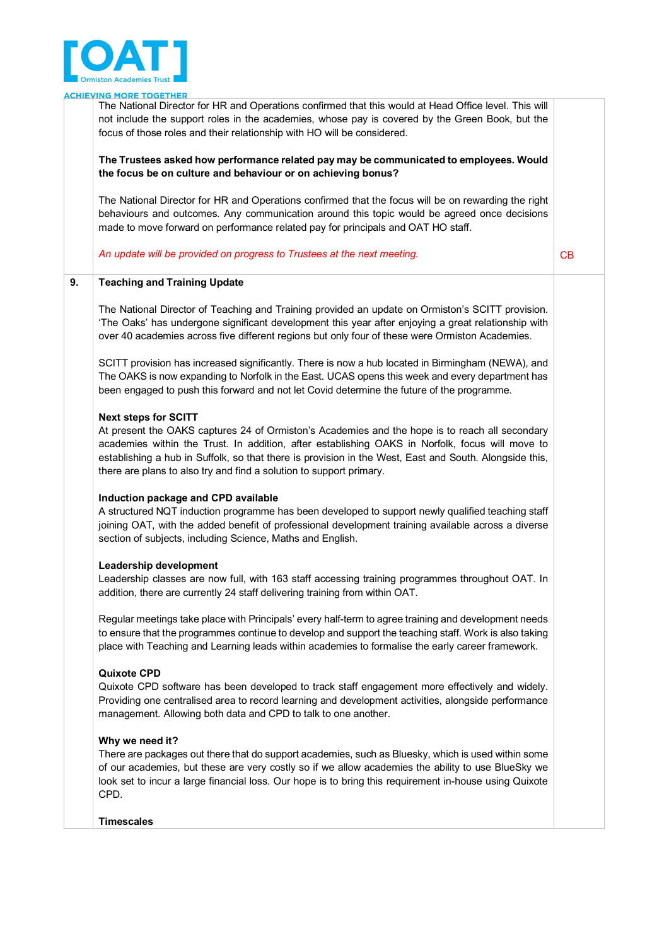

The National Director for HR and Operations confirmed that this would at Head Office level. This will not include the support roles in the academies, whose pay is covered by the Green Book, but the focus of those roles and their relationship with HO will be considered.

#### **The Trustees asked how performance related pay may be communicated to employees. Would the focus be on culture and behaviour or on achieving bonus?**

The National Director for HR and Operations confirmed that the focus will be on rewarding the right behaviours and outcomes. Any communication around this topic would be agreed once decisions made to move forward on performance related pay for principals and OAT HO staff.

An update will be provided on progress to Trustees at the next meeting.

# **9. Teaching and Training Update**

The National Director of Teaching and Training provided an update on Ormiston's SCITT provision. 'The Oaks' has undergone significant development this year after enjoying a great relationship with over 40 academies across five different regions but only four of these were Ormiston Academies.

SCITT provision has increased significantly. There is now a hub located in Birmingham (NEWA), and The OAKS is now expanding to Norfolk in the East. UCAS opens this week and every department has been engaged to push this forward and not let Covid determine the future of the programme.

#### **Next steps for SCITT**

At present the OAKS captures 24 of Ormiston's Academies and the hope is to reach all secondary academies within the Trust. In addition, after establishing OAKS in Norfolk, focus will move to establishing a hub in Suffolk, so that there is provision in the West, East and South. Alongside this, there are plans to also try and find a solution to support primary.

#### **Induction package and CPD available**

A structured NQT induction programme has been developed to support newly qualified teaching staff joining OAT, with the added benefit of professional development training available across a diverse section of subjects, including Science, Maths and English.

#### **Leadership development**

Leadership classes are now full, with 163 staff accessing training programmes throughout OAT. In addition, there are currently 24 staff delivering training from within OAT.

Regular meetings take place with Principals' every half-term to agree training and development needs to ensure that the programmes continue to develop and support the teaching staff. Work is also taking place with Teaching and Learning leads within academies to formalise the early career framework.

#### **Quixote CPD**

Quixote CPD software has been developed to track staff engagement more effectively and widely. Providing one centralised area to record learning and development activities, alongside performance management. Allowing both data and CPD to talk to one another.

#### **Why we need it?**

There are packages out there that do support academies, such as Bluesky, which is used within some of our academies, but these are very costly so if we allow academies the ability to use BlueSky we look set to incur a large financial loss. Our hope is to bring this requirement in-house using Quixote CPD.

#### **Timescales**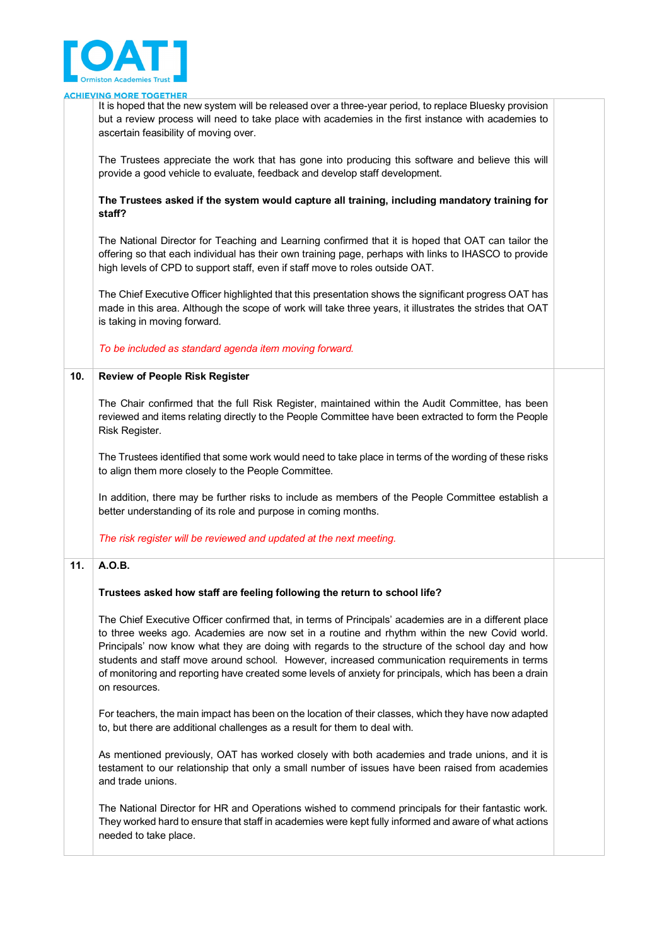

|     | <b>ACHIEVING MORE TOGETHER</b>                                                                                                                                                                                                                                                                                                                                                                                                                                                                                                          |  |
|-----|-----------------------------------------------------------------------------------------------------------------------------------------------------------------------------------------------------------------------------------------------------------------------------------------------------------------------------------------------------------------------------------------------------------------------------------------------------------------------------------------------------------------------------------------|--|
|     | It is hoped that the new system will be released over a three-year period, to replace Bluesky provision<br>but a review process will need to take place with academies in the first instance with academies to<br>ascertain feasibility of moving over.                                                                                                                                                                                                                                                                                 |  |
|     | The Trustees appreciate the work that has gone into producing this software and believe this will<br>provide a good vehicle to evaluate, feedback and develop staff development.                                                                                                                                                                                                                                                                                                                                                        |  |
|     | The Trustees asked if the system would capture all training, including mandatory training for<br>staff?                                                                                                                                                                                                                                                                                                                                                                                                                                 |  |
|     | The National Director for Teaching and Learning confirmed that it is hoped that OAT can tailor the<br>offering so that each individual has their own training page, perhaps with links to IHASCO to provide<br>high levels of CPD to support staff, even if staff move to roles outside OAT.                                                                                                                                                                                                                                            |  |
|     | The Chief Executive Officer highlighted that this presentation shows the significant progress OAT has<br>made in this area. Although the scope of work will take three years, it illustrates the strides that OAT<br>is taking in moving forward.                                                                                                                                                                                                                                                                                       |  |
|     | To be included as standard agenda item moving forward.                                                                                                                                                                                                                                                                                                                                                                                                                                                                                  |  |
| 10. | <b>Review of People Risk Register</b>                                                                                                                                                                                                                                                                                                                                                                                                                                                                                                   |  |
|     | The Chair confirmed that the full Risk Register, maintained within the Audit Committee, has been<br>reviewed and items relating directly to the People Committee have been extracted to form the People<br>Risk Register.                                                                                                                                                                                                                                                                                                               |  |
|     | The Trustees identified that some work would need to take place in terms of the wording of these risks<br>to align them more closely to the People Committee.                                                                                                                                                                                                                                                                                                                                                                           |  |
|     | In addition, there may be further risks to include as members of the People Committee establish a<br>better understanding of its role and purpose in coming months.                                                                                                                                                                                                                                                                                                                                                                     |  |
|     | The risk register will be reviewed and updated at the next meeting.                                                                                                                                                                                                                                                                                                                                                                                                                                                                     |  |
| 11. | A.O.B.                                                                                                                                                                                                                                                                                                                                                                                                                                                                                                                                  |  |
|     | Trustees asked how staff are feeling following the return to school life?                                                                                                                                                                                                                                                                                                                                                                                                                                                               |  |
|     | The Chief Executive Officer confirmed that, in terms of Principals' academies are in a different place<br>to three weeks ago. Academies are now set in a routine and rhythm within the new Covid world.<br>Principals' now know what they are doing with regards to the structure of the school day and how<br>students and staff move around school. However, increased communication requirements in terms<br>of monitoring and reporting have created some levels of anxiety for principals, which has been a drain<br>on resources. |  |
|     | For teachers, the main impact has been on the location of their classes, which they have now adapted<br>to, but there are additional challenges as a result for them to deal with.                                                                                                                                                                                                                                                                                                                                                      |  |
|     | As mentioned previously, OAT has worked closely with both academies and trade unions, and it is<br>testament to our relationship that only a small number of issues have been raised from academies<br>and trade unions.                                                                                                                                                                                                                                                                                                                |  |
|     | The National Director for HR and Operations wished to commend principals for their fantastic work.<br>They worked hard to ensure that staff in academies were kept fully informed and aware of what actions<br>needed to take place.                                                                                                                                                                                                                                                                                                    |  |